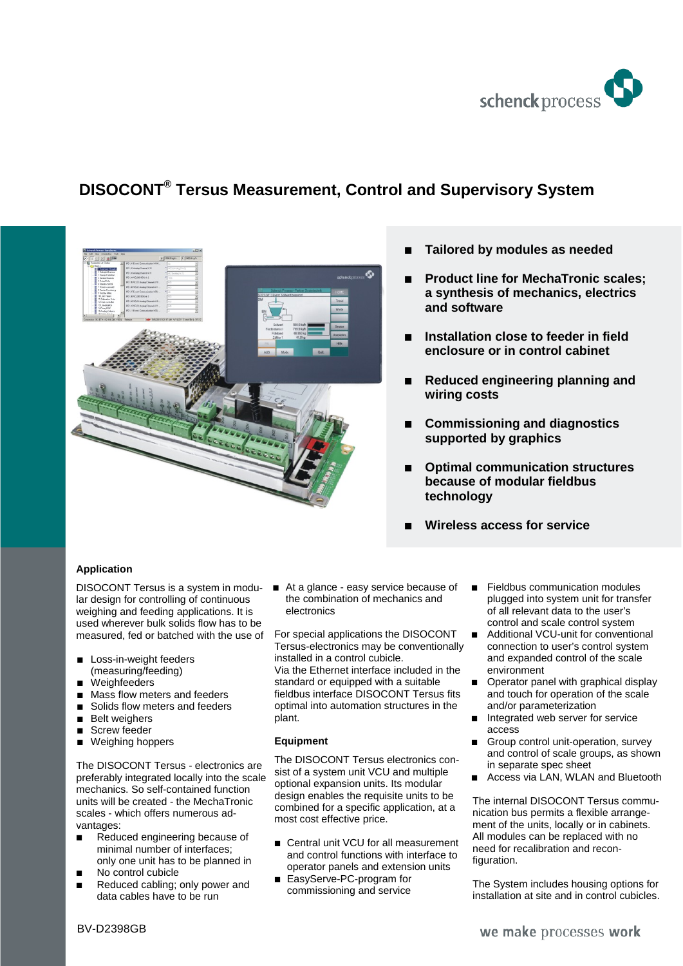

# **DISOCONT® Tersus Measurement, Control and Supervisory System**



- **Tailored by modules as needed**
- **Product line for MechaTronic scales; a synthesis of mechanics, electrics and software**
- **Installation close to feeder in field enclosure or in control cabinet**
- **Reduced engineering planning and wiring costs**
- **Commissioning and diagnostics supported by graphics**
- **Optimal communication structures because of modular fieldbus technology**
- **Wireless access for service**

# **Application**

lar design for controlling of continuous weighing and feeding applications. It is used wherever bulk solids flow has to be measured, fed or batched with the use of

- **Loss-in-weight feeders** (measuring/feeding)
- **Weighfeeders**
- Mass flow meters and feeders
- Solids flow meters and feeders
- **Belt weighers**
- Screw feeder
- Weighing hoppers

The DISOCONT Tersus - electronics are preferably integrated locally into the scale mechanics. So self-contained function units will be created - the MechaTronic scales - which offers numerous advantages:

- Reduced engineering because of minimal number of interfaces; only one unit has to be planned in
- No control cubicle
- Reduced cabling; only power and data cables have to be run

DISOCONT Tersus is a system in modu- At a glance - easy service because of the combination of mechanics and electronics

> For special applications the DISOCONT Tersus-electronics may be conventionally installed in a control cubicle. Via the Ethernet interface included in the standard or equipped with a suitable fieldbus interface DISOCONT Tersus fits optimal into automation structures in the plant.

### **Equipment**

The DISOCONT Tersus electronics consist of a system unit VCU and multiple optional expansion units. Its modular design enables the requisite units to be combined for a specific application, at a most cost effective price.

- Central unit VCU for all measurement and control functions with interface to operator panels and extension units
- EasyServe-PC-program for commissioning and service
- Fieldbus communication modules plugged into system unit for transfer of all relevant data to the user's control and scale control system
- Additional VCU-unit for conventional connection to user's control system and expanded control of the scale environment
- Operator panel with graphical display and touch for operation of the scale and/or parameterization
- Integrated web server for service access
- Group control unit-operation, survey and control of scale groups, as shown in separate spec sheet
- Access via LAN, WLAN and Bluetooth

The internal DISOCONT Tersus communication bus permits a flexible arrangement of the units, locally or in cabinets. All modules can be replaced with no need for recalibration and reconfiguration.

The System includes housing options for installation at site and in control cubicles.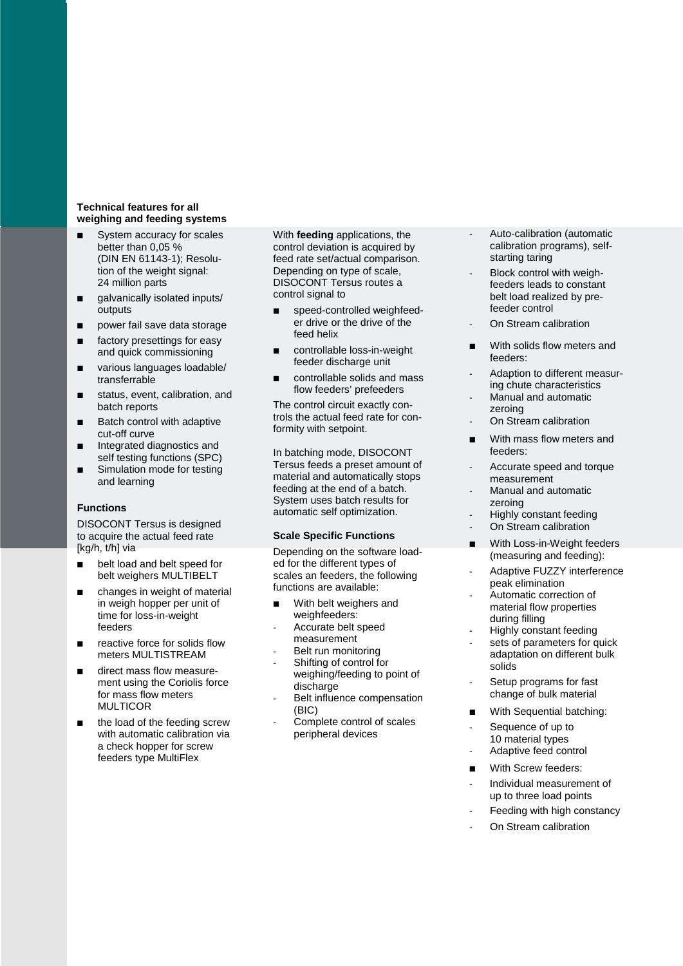#### **Technical features for all weighing and feeding systems**

- System accuracy for scales better than 0,05 % (DIN EN 61143-1); Resolution of the weight signal: 24 million parts
- **galvanically isolated inputs/** outputs
- power fail save data storage
- factory presettings for easy and quick commissioning
- various languages loadable/ transferrable
- status, event, calibration, and batch reports
- Batch control with adaptive cut-off curve
- **Integrated diagnostics and** self testing functions (SPC)
- Simulation mode for testing and learning

#### **Functions**

DISOCONT Tersus is designed to acquire the actual feed rate [kg/h, t/h] via

- **belt load and belt speed for** belt weighers MULTIBELT
- changes in weight of material in weigh hopper per unit of time for loss-in-weight feeders
- reactive force for solids flow meters MULTISTREAM
- direct mass flow measurement using the Coriolis force for mass flow meters MULTICOR
- the load of the feeding screw with automatic calibration via a check hopper for screw feeders type MultiFlex

With **feeding** applications, the control deviation is acquired by feed rate set/actual comparison. Depending on type of scale, DISOCONT Tersus routes a control signal to

- speed-controlled weighfeeder drive or the drive of the feed helix
- controllable loss-in-weight feeder discharge unit
- controllable solids and mass flow feeders' prefeeders

The control circuit exactly controls the actual feed rate for conformity with setpoint.

In batching mode, DISOCONT Tersus feeds a preset amount of material and automatically stops feeding at the end of a batch. System uses batch results for automatic self optimization.

#### **Scale Specific Functions**

Depending on the software loaded for the different types of scales an feeders, the following functions are available:

- With belt weighers and weighfeeders:
- Accurate belt speed
- measurement
- Belt run monitoring
- Shifting of control for weighing/feeding to point of discharge
- Belt influence compensation (BIC)
- Complete control of scales peripheral devices
- Auto-calibration (automatic calibration programs), selfstarting taring
- Block control with weighfeeders leads to constant belt load realized by prefeeder control
- On Stream calibration
- **No. 3** With solids flow meters and feeders:
- Adaption to different measuring chute characteristics
- Manual and automatic zeroing On Stream calibration
- 
- With mass flow meters and feeders:
- Accurate speed and torque measurement
- Manual and automatic zeroing
- Highly constant feeding
- On Stream calibration
- With Loss-in-Weight feeders (measuring and feeding):
- Adaptive FUZZY interference peak elimination
- Automatic correction of material flow properties during filling
- Highly constant feeding
- sets of parameters for quick adaptation on different bulk solids
- Setup programs for fast change of bulk material
- **With Sequential batching:**
- Sequence of up to 10 material types
- Adaptive feed control
- **Nith Screw feeders:**
- Individual measurement of up to three load points
- Feeding with high constancy
- On Stream calibration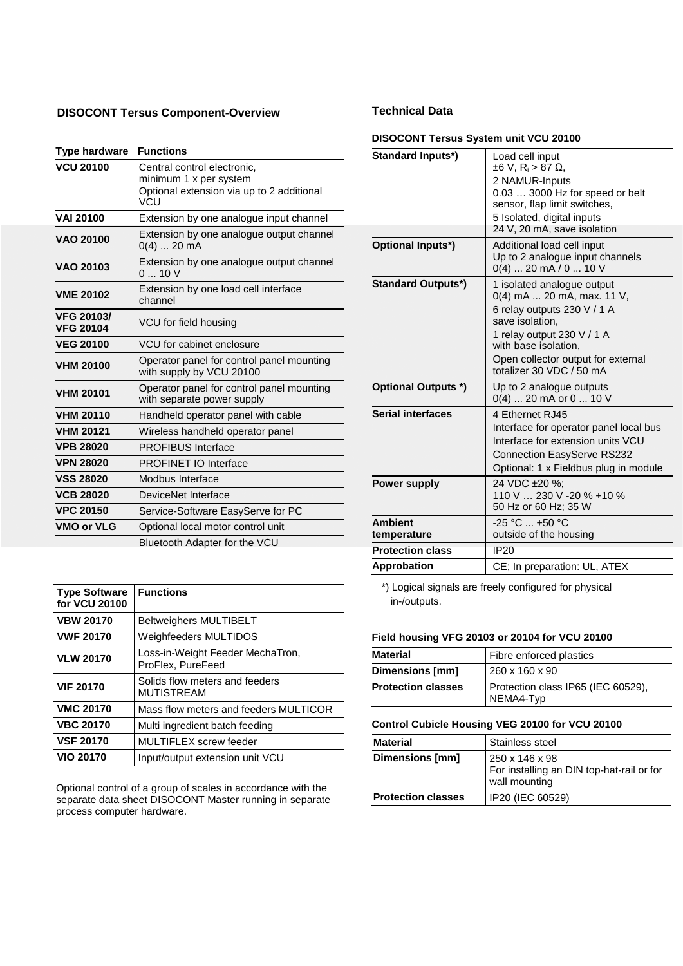# **DISOCONT Tersus Component-Overview**

| <b>Type hardware</b>                  | <b>Functions</b>                                                                                          |
|---------------------------------------|-----------------------------------------------------------------------------------------------------------|
| <b>VCU 20100</b>                      | Central control electronic,<br>minimum 1 x per system<br>Optional extension via up to 2 additional<br>VCU |
| <b>VAI 20100</b>                      | Extension by one analogue input channel                                                                   |
| <b>VAO 20100</b>                      | Extension by one analogue output channel<br>$0(4)$ 20 mA                                                  |
| VAO 20103                             | Extension by one analogue output channel<br>010V                                                          |
| <b>VME 20102</b>                      | Extension by one load cell interface<br>channel                                                           |
| <b>VFG 20103/</b><br><b>VFG 20104</b> | VCU for field housing                                                                                     |
| <b>VEG 20100</b>                      | VCU for cabinet enclosure                                                                                 |
| <b>VHM 20100</b>                      | Operator panel for control panel mounting<br>with supply by VCU 20100                                     |
| <b>VHM 20101</b>                      | Operator panel for control panel mounting<br>with separate power supply                                   |
| <b>VHM 20110</b>                      | Handheld operator panel with cable                                                                        |
| <b>VHM 20121</b>                      | Wireless handheld operator panel                                                                          |
| <b>VPB 28020</b>                      | <b>PROFIBUS Interface</b>                                                                                 |
| <b>VPN 28020</b>                      | <b>PROFINET IO Interface</b>                                                                              |
| <b>VSS 28020</b>                      | Modbus Interface                                                                                          |
| <b>VCB 28020</b>                      | DeviceNet Interface                                                                                       |
| <b>VPC 20150</b>                      | Service-Software EasyServe for PC                                                                         |
| <b>VMO or VLG</b>                     | Optional local motor control unit                                                                         |
|                                       | Bluetooth Adapter for the VCU                                                                             |

| <b>Type Software</b><br>for VCU 20100 | <b>Functions</b>                                      |
|---------------------------------------|-------------------------------------------------------|
| <b>VBW 20170</b>                      | <b>Beltweighers MULTIBELT</b>                         |
| <b>VWF 20170</b>                      | Weighfeeders MULTIDOS                                 |
| <b>VLW 20170</b>                      | Loss-in-Weight Feeder MechaTron,<br>ProFlex, PureFeed |
| <b>VIF 20170</b>                      | Solids flow meters and feeders<br><b>MUTISTREAM</b>   |
| <b>VMC 20170</b>                      | Mass flow meters and feeders MULTICOR                 |
| <b>VBC 20170</b>                      | Multi ingredient batch feeding                        |
| <b>VSF 20170</b>                      | MULTIFLEX screw feeder                                |
| <b>VIO 20170</b>                      | Input/output extension unit VCU                       |

Optional control of a group of scales in accordance with the separate data sheet DISOCONT Master running in separate process computer hardware.

# **Technical Data**

### **DISOCONT Tersus System unit VCU 20100**

| Standard Inputs*)             | Load cell input<br>$±6$ V, R <sub>i</sub> > 87 Ω,<br>2 NAMUR-Inputs<br>0.03  3000 Hz for speed or belt                                                                |
|-------------------------------|-----------------------------------------------------------------------------------------------------------------------------------------------------------------------|
|                               | sensor, flap limit switches,<br>5 Isolated, digital inputs                                                                                                            |
|                               | 24 V, 20 mA, save isolation                                                                                                                                           |
| Optional Inputs*)             | Additional load cell input<br>Up to 2 analogue input channels<br>$0(4)$ 20 mA / 0  10 V                                                                               |
| <b>Standard Outputs*)</b>     | 1 isolated analogue output<br>$0(4)$ mA  20 mA, max. 11 V,<br>6 relay outputs 230 V / 1 A<br>save isolation,                                                          |
|                               | 1 relay output 230 V / 1 A<br>with base isolation.                                                                                                                    |
|                               | Open collector output for external<br>totalizer 30 VDC / 50 mA                                                                                                        |
| <b>Optional Outputs *)</b>    | Up to 2 analogue outputs<br>$0(4)$ 20 mA or 0  10 V                                                                                                                   |
| <b>Serial interfaces</b>      | 4 Ethernet RJ45<br>Interface for operator panel local bus<br>Interface for extension units VCU<br>Connection EasyServe RS232<br>Optional: 1 x Fieldbus plug in module |
| Power supply                  | 24 VDC ±20 %:<br>110 V  230 V -20 % +10 %<br>50 Hz or 60 Hz; 35 W                                                                                                     |
| <b>Ambient</b><br>temperature | $-25 °C = +50 °C$<br>outside of the housing                                                                                                                           |
| <b>Protection class</b>       | <b>IP20</b>                                                                                                                                                           |
| Approbation                   | CE; In preparation: UL, ATEX                                                                                                                                          |

\*) Logical signals are freely configured for physical in-/outputs.

#### **Field housing VFG 20103 or 20104 for VCU 20100**

| Material                  | Fibre enforced plastics                         |
|---------------------------|-------------------------------------------------|
| Dimensions [mm]           | 260 x 160 x 90                                  |
| <b>Protection classes</b> | Protection class IP65 (IEC 60529),<br>NEMA4-Typ |

# **Control Cubicle Housing VEG 20100 for VCU 20100**

| <b>Material</b>           | Stainless steel                                                              |
|---------------------------|------------------------------------------------------------------------------|
| Dimensions [mm]           | 250 x 146 x 98<br>For installing an DIN top-hat-rail or for<br>wall mounting |
| <b>Protection classes</b> | IP20 (IEC 60529)                                                             |